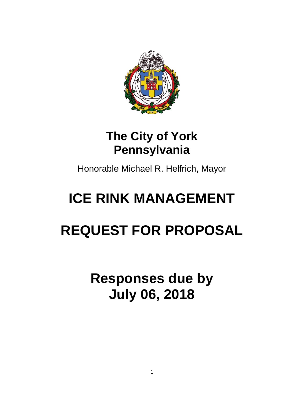

### **The City of York Pennsylvania**

Honorable Michael R. Helfrich, Mayor

## **ICE RINK MANAGEMENT**

# **REQUEST FOR PROPOSAL**

**Responses due by July 06, 2018**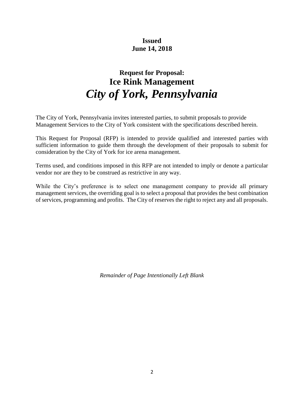#### **Issued June 14, 2018**

### **Request for Proposal: Ice Rink Management** *City of York, Pennsylvania*

The City of York, Pennsylvania invites interested parties, to submit proposals to provide Management Services to the City of York consistent with the specifications described herein.

This Request for Proposal (RFP) is intended to provide qualified and interested parties with sufficient information to guide them through the development of their proposals to submit for consideration by the City of York for ice arena management.

Terms used, and conditions imposed in this RFP are not intended to imply or denote a particular vendor nor are they to be construed as restrictive in any way.

While the City's preference is to select one management company to provide all primary management services, the overriding goal is to select a proposal that provides the best combination of services, programming and profits. The City of reserves the right to reject any and all proposals.

*Remainder of Page Intentionally Left Blank*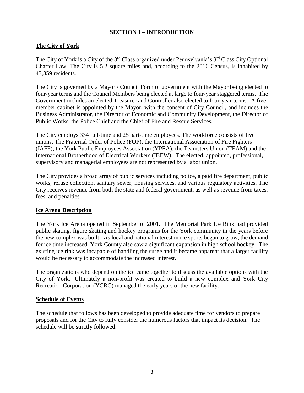#### **SECTION I – INTRODUCTION**

#### **The City of York**

The City of York is a City of the 3<sup>rd</sup> Class organized under Pennsylvania's 3<sup>rd</sup> Class City Optional Charter Law. The City is 5.2 square miles and, according to the 2016 Census, is inhabited by 43,859 residents.

The City is governed by a Mayor / Council Form of government with the Mayor being elected to four-year terms and the Council Members being elected at large to four-year staggered terms. The Government includes an elected Treasurer and Controller also elected to four-year terms. A fivemember cabinet is appointed by the Mayor, with the consent of City Council, and includes the Business Administrator, the Director of Economic and Community Development, the Director of Public Works, the Police Chief and the Chief of Fire and Rescue Services.

The City employs 334 full-time and 25 part-time employees. The workforce consists of five unions: The Fraternal Order of Police (FOP); the International Association of Fire Fighters (IAFF); the York Public Employees Association (YPEA); the Teamsters Union (TEAM) and the International Brotherhood of Electrical Workers (IBEW). The elected, appointed, professional, supervisory and managerial employees are not represented by a labor union.

The City provides a broad array of public services including police, a paid fire department, public works, refuse collection, sanitary sewer, housing services, and various regulatory activities. The City receives revenue from both the state and federal government, as well as revenue from taxes, fees, and penalties.

#### **Ice Arena Description**

The York Ice Arena opened in September of 2001. The Memorial Park Ice Rink had provided public skating, figure skating and hockey programs for the York community in the years before the new complex was built. As local and national interest in ice sports began to grow, the demand for ice time increased. York County also saw a significant expansion in high school hockey. The existing ice rink was incapable of handling the surge and it became apparent that a larger facility would be necessary to accommodate the increased interest.

The organizations who depend on the ice came together to discuss the available options with the City of York. Ultimately a non-profit was created to build a new complex and York City Recreation Corporation (YCRC) managed the early years of the new facility.

#### **Schedule of Events**

The schedule that follows has been developed to provide adequate time for vendors to prepare proposals and for the City to fully consider the numerous factors that impact its decision. The schedule will be strictly followed.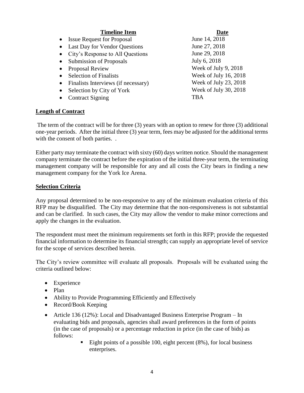| <b>Timeline Item</b>                              | Date                  |
|---------------------------------------------------|-----------------------|
| <b>Issue Request for Proposal</b><br>$\bullet$    | June 14, 2018         |
| <b>Last Day for Vendor Questions</b><br>$\bullet$ | June 27, 2018         |
| City's Response to All Questions<br>$\bullet$     | June 29, 2018         |
| <b>Submission of Proposals</b><br>$\bullet$       | July 6, 2018          |
| <b>Proposal Review</b><br>$\bullet$               | Week of July 9, 2018  |
| <b>Selection of Finalists</b><br>$\bullet$        | Week of July 16, 2018 |
| Finalists Interviews (if necessary)<br>$\bullet$  | Week of July 23, 2018 |
| Selection by City of York<br>$\bullet$            | Week of July 30, 2018 |
| <b>Contract Signing</b><br>$\bullet$              | <b>TBA</b>            |

#### **Length of Contract**

The term of the contract will be for three (3) years with an option to renew for three (3) additional one-year periods. After the initial three (3) year term, fees may be adjusted for the additional terms with the consent of both parties...

Either party may terminate the contract with sixty (60) days written notice. Should the management company terminate the contract before the expiration of the initial three-year term, the terminating management company will be responsible for any and all costs the City bears in finding a new management company for the York Ice Arena.

#### **Selection Criteria**

Any proposal determined to be non-responsive to any of the minimum evaluation criteria of this RFP may be disqualified. The City may determine that the non-responsiveness is not substantial and can be clarified. In such cases, the City may allow the vendor to make minor corrections and apply the changes in the evaluation.

The respondent must meet the minimum requirements set forth in this RFP; provide the requested financial information to determine its financial strength; can supply an appropriate level of service for the scope of services described herein.

The City's review committee will evaluate all proposals. Proposals will be evaluated using the criteria outlined below:

- Experience
- Plan
- Ability to Provide Programming Efficiently and Effectively
- Record/Book Keeping
- Article 136 (12%): Local and Disadvantaged Business Enterprise Program In evaluating bids and proposals, agencies shall award preferences in the form of points (in the case of proposals) or a percentage reduction in price (in the case of bids) as follows:
	- $\blacksquare$  Eight points of a possible 100, eight percent (8%), for local business enterprises.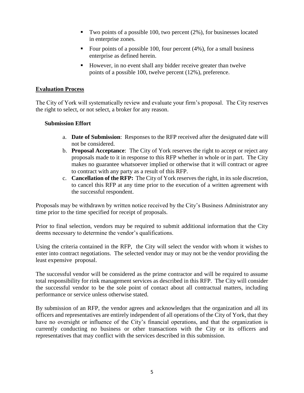- Two points of a possible 100, two percent (2%), for businesses located in enterprise zones.
- Equilibrary Four points of a possible 100, four percent  $(4\%)$ , for a small business enterprise as defined herein.
- However, in no event shall any bidder receive greater than twelve points of a possible 100, twelve percent (12%), preference.

#### **Evaluation Process**

The City of York will systematically review and evaluate your firm's proposal. The City reserves the right to select, or not select, a broker for any reason.

#### **Submission Effort**

- a. **Date of Submission**: Responses to the RFP received after the designated date will not be considered.
- b. **Proposal Acceptance**: The City of York reserves the right to accept or reject any proposals made to it in response to this RFP whether in whole or in part. The City makes no guarantee whatsoever implied or otherwise that it will contract or agree to contract with any party as a result of this RFP.
- c. **Cancellation of the RFP:** The City of York reserves the right, in its sole discretion, to cancel this RFP at any time prior to the execution of a written agreement with the successful respondent.

Proposals may be withdrawn by written notice received by the City's Business Administrator any time prior to the time specified for receipt of proposals.

Prior to final selection, vendors may be required to submit additional information that the City deems necessary to determine the vendor's qualifications.

Using the criteria contained in the RFP, the City will select the vendor with whom it wishes to enter into contract negotiations. The selected vendor may or may not be the vendor providing the least expensive proposal.

The successful vendor will be considered as the prime contractor and will be required to assume total responsibility for rink management services as described in this RFP. The City will consider the successful vendor to be the sole point of contact about all contractual matters, including performance or service unless otherwise stated.

By submission of an RFP, the vendor agrees and acknowledges that the organization and all its officers and representatives are entirely independent of all operations of the City of York, that they have no oversight or influence of the City's financial operations, and that the organization is currently conducting no business or other transactions with the City or its officers and representatives that may conflict with the services described in this submission.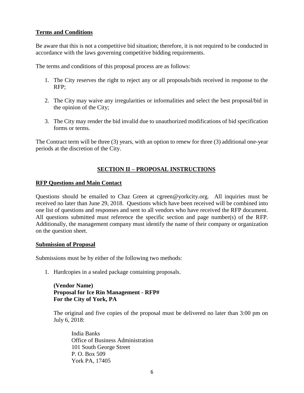#### **Terms and Conditions**

Be aware that this is not a competitive bid situation; therefore, it is not required to be conducted in accordance with the laws governing competitive bidding requirements.

The terms and conditions of this proposal process are as follows:

- 1. The City reserves the right to reject any or all proposals/bids received in response to the RFP;
- 2. The City may waive any irregularities or informalities and select the best proposal/bid in the opinion of the City;
- 3. The City may render the bid invalid due to unauthorized modifications of bid specification forms or terms.

The Contract term will be three (3) years, with an option to renew for three (3) additional one-year periods at the discretion of the City.

#### **SECTION II – PROPOSAL INSTRUCTIONS**

#### **RFP Questions and Main Contact**

Questions should be emailed to Chaz Green at cgreen@yorkcity.org. All inquiries must be received no later than June 29, 2018. Questions which have been received will be combined into one list of questions and responses and sent to all vendors who have received the RFP document. All questions submitted must reference the specific section and page number(s) of the RFP. Additionally, the management company must identify the name of their company or organization on the question sheet.

#### **Submission of Proposal**

Submissions must be by either of the following two methods:

1. Hardcopies in a sealed package containing proposals.

#### **(Vendor Name) Proposal for Ice Rin Management - RFP# For the City of York, PA**

The original and five copies of the proposal must be delivered no later than 3:00 pm on July 6, 2018:

India Banks Office of Business Administration 101 South George Street P. O. Box 509 York PA, 17405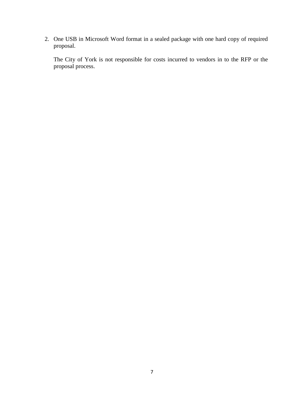2. One USB in Microsoft Word format in a sealed package with one hard copy of required proposal.

The City of York is not responsible for costs incurred to vendors in to the RFP or the proposal process.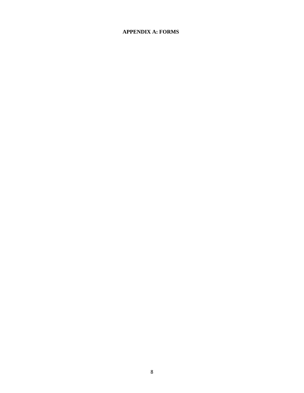#### **APPENDIX A: FORMS**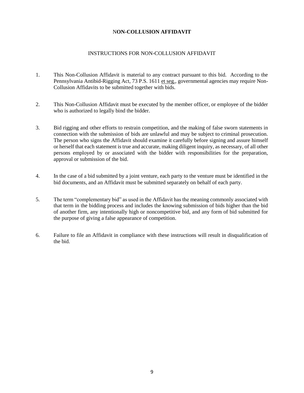#### N**ON-COLLUSION AFFIDAVIT**

#### INSTRUCTIONS FOR NON-COLLUSION AFFIDAVIT

- 1. This Non-Collusion Affidavit is material to any contract pursuant to this bid. According to the Pennsylvania Antibid-Rigging Act, 73 P.S. 1611 et seg., governmental agencies may require Non-Collusion Affidavits to be submitted together with bids.
- 2. This Non-Collusion Affidavit must be executed by the member officer, or employee of the bidder who is authorized to legally bind the bidder.
- 3. Bid rigging and other efforts to restrain competition, and the making of false sworn statements in connection with the submission of bids are unlawful and may be subject to criminal prosecution. The person who signs the Affidavit should examine it carefully before signing and assure himself or herself that each statement is true and accurate, making diligent inquiry, as necessary, of all other persons employed by or associated with the bidder with responsibilities for the preparation, approval or submission of the bid.
- 4. In the case of a bid submitted by a joint venture, each party to the venture must be identified in the bid documents, and an Affidavit must be submitted separately on behalf of each party.
- 5. The term "complementary bid" as used in the Affidavit has the meaning commonly associated with that term in the bidding process and includes the knowing submission of bids higher than the bid of another firm, any intentionally high or noncompetitive bid, and any form of bid submitted for the purpose of giving a false appearance of competition.
- 6. Failure to file an Affidavit in compliance with these instructions will result in disqualification of the bid.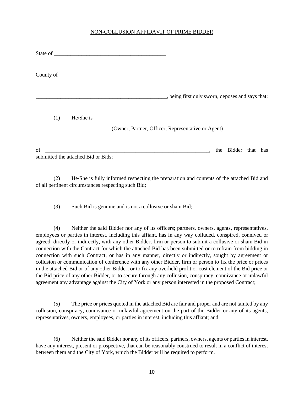#### NON-COLLUSION AFFIDAVIT OF PRIME BIDDER

|     | State of <u>example and the state of example and the state of example and the state of example and the state of the state of the state of the state of the state of the state of the state of the state of the state of the stat</u> |                                                                 |
|-----|--------------------------------------------------------------------------------------------------------------------------------------------------------------------------------------------------------------------------------------|-----------------------------------------------------------------|
|     |                                                                                                                                                                                                                                      |                                                                 |
|     |                                                                                                                                                                                                                                      | $\blacksquare$ , being first duly sworn, deposes and says that: |
| (1) | He/She is                                                                                                                                                                                                                            |                                                                 |
|     |                                                                                                                                                                                                                                      | (Owner, Partner, Officer, Representative or Agent)              |

of the state of  $\alpha$  is the Bidder that has  $\alpha$  is the Bidder that has  $\alpha$ submitted the attached Bid or Bids;

(2) He/She is fully informed respecting the preparation and contents of the attached Bid and of all pertinent circumstances respecting such Bid;

(3) Such Bid is genuine and is not a collusive or sham Bid;

(4) Neither the said Bidder nor any of its officers; partners, owners, agents, representatives, employees or parties in interest, including this affiant, has in any way colluded, conspired, connived or agreed, directly or indirectly, with any other Bidder, firm or person to submit a collusive or sham Bid in connection with the Contract for which the attached Bid has been submitted or to refrain from bidding in connection with such Contract, or has in any manner, directly or indirectly, sought by agreement or collusion or communication of conference with any other Bidder, firm or person to fix the price or prices in the attached Bid or of any other Bidder, or to fix any overheld profit or cost element of the Bid price or the Bid price of any other Bidder, or to secure through any collusion, conspiracy, connivance or unlawful agreement any advantage against the City of York or any person interested in the proposed Contract;

(5) The price or prices quoted in the attached Bid are fair and proper and are not tainted by any collusion, conspiracy, connivance or unlawful agreement on the part of the Bidder or any of its agents, representatives, owners, employees, or parties in interest, including this affiant; and,

(6) Neither the said Bidder nor any of its officers, partners, owners, agents or parties in interest, have any interest, present or prospective, that can be reasonably construed to result in a conflict of interest between them and the City of York, which the Bidder will be required to perform.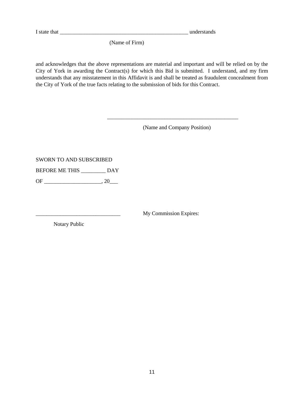I state that \_\_\_\_\_\_\_\_\_\_\_\_\_\_\_\_\_\_\_\_\_\_\_\_\_\_\_\_\_\_\_\_\_\_\_\_\_\_\_\_\_\_\_\_\_\_\_ understands

(Name of Firm)

and acknowledges that the above representations are material and important and will be relied on by the City of York in awarding the Contract(s) for which this Bid is submitted. I understand, and my firm understands that any misstatement in this Affidavit is and shall be treated as fraudulent concealment from the City of York of the true facts relating to the submission of bids for this Contract.

(Name and Company Position)

\_\_\_\_\_\_\_\_\_\_\_\_\_\_\_\_\_\_\_\_\_\_\_\_\_\_\_\_\_\_\_\_\_\_\_\_\_\_\_\_\_\_\_\_\_\_\_\_

SWORN TO AND SUBSCRIBED

BEFORE ME THIS \_\_\_\_\_\_\_\_\_ DAY

OF \_\_\_\_\_\_\_\_\_\_\_\_\_\_\_\_\_\_\_\_\_, 20\_\_\_

My Commission Expires:

Notary Public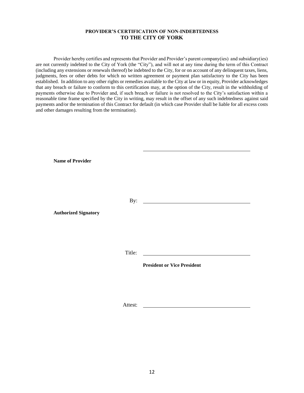#### **PROVIDER'S CERTIFICATION OF NON-INDEBTEDNESS TO THE CITY OF YORK**

Provider hereby certifies and represents that Provider and Provider's parent company(ies) and subsidiary(ies) are not currently indebted to the City of York (the "City"), and will not at any time during the term of this Contract (including any extensions or renewals thereof) be indebted to the City, for or on account of any delinquent taxes, liens, judgments, fees or other debts for which no written agreement or payment plan satisfactory to the City has been established. In addition to any other rights or remedies available to the City at law or in equity, Provider acknowledges that any breach or failure to conform to this certification may, at the option of the City, result in the withholding of payments otherwise due to Provider and, if such breach or failure is not resolved to the City's satisfaction within a reasonable time frame specified by the City in writing, may result in the offset of any such indebtedness against said payments and/or the termination of this Contract for default (in which case Provider shall be liable for all excess costs and other damages resulting from the termination).

**Name of Provider**

By:

**Authorized Signatory**

Title:

**President or Vice President**

Attest: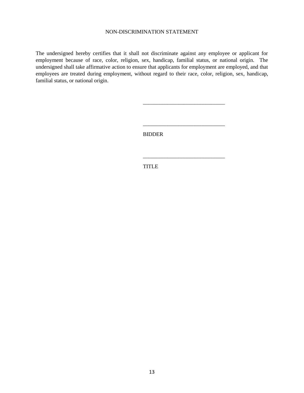#### NON-DISCRIMINATION STATEMENT

The undersigned hereby certifies that it shall not discriminate against any employee or applicant for employment because of race, color, religion, sex, handicap, familial status, or national origin. The undersigned shall take affirmative action to ensure that applicants for employment are employed, and that employees are treated during employment, without regard to their race, color, religion, sex, handicap, familial status, or national origin.

BIDDER

\_\_\_\_\_\_\_\_\_\_\_\_\_\_\_\_\_\_\_\_\_\_\_\_\_\_\_\_\_\_

\_\_\_\_\_\_\_\_\_\_\_\_\_\_\_\_\_\_\_\_\_\_\_\_\_\_\_\_\_\_

\_\_\_\_\_\_\_\_\_\_\_\_\_\_\_\_\_\_\_\_\_\_\_\_\_\_\_\_\_\_

TITLE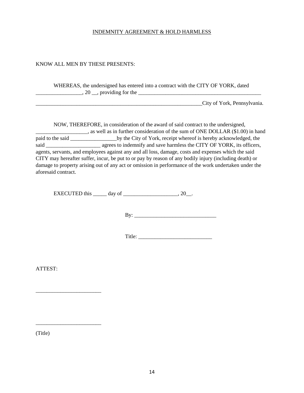#### INDEMNITY AGREEMENT & HOLD HARMLESS

#### KNOW ALL MEN BY THESE PRESENTS:

WHEREAS, the undersigned has entered into a contract with the CITY OF YORK, dated  $\ldots$ , 20  $\ldots$ , providing for the  $\ldots$ 

City of York, Pennsylvania.

NOW, THEREFORE, in consideration of the award of said contract to the undersigned, , as well as in further consideration of the sum of ONE DOLLAR (\$1.00) in hand paid to the said \_\_\_\_\_\_\_\_\_\_\_\_\_\_\_\_\_\_\_\_\_\_\_\_\_\_by the City of York, receipt whereof is hereby acknowledged, the said \_\_\_\_\_\_\_\_\_\_\_\_\_\_\_\_\_\_\_\_\_\_\_\_\_\_\_ agrees to indemnify and save harmless the CITY OF YORK, its officers, agents, servants, and employees against any and all loss, damage, costs and expenses which the said CITY may hereafter suffer, incur, be put to or pay by reason of any bodily injury (including death) or damage to property arising out of any act or omission in performance of the work undertaken under the aforesaid contract.

EXECUTED this  $\_\_\_\_$  day of  $\_\_\_\_\_\_\_\_$ , 20 $\_\_\_\_\_\_\_\_$ .

By: \_\_\_\_\_\_\_\_\_\_\_\_\_\_\_\_\_\_\_\_\_\_\_\_\_\_\_\_\_\_

Title: \_\_\_\_\_\_\_\_\_\_\_\_\_\_\_\_\_\_\_\_\_\_\_\_\_\_\_

ATTEST:

\_\_\_\_\_\_\_\_\_\_\_\_\_\_\_\_\_\_\_\_\_\_\_\_

\_\_\_\_\_\_\_\_\_\_\_\_\_\_\_\_\_\_\_\_\_\_\_\_

(Title)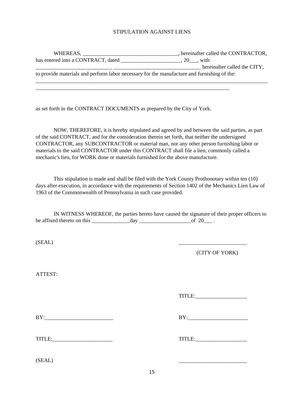#### STIPULATION AGAINST LIENS

| WHEREAS.                                                                                    | hereinafter called the CONTRACTOR, |  |  |  |
|---------------------------------------------------------------------------------------------|------------------------------------|--|--|--|
| has entered into a CONTRACT, dated                                                          | $.20$ $. with$                     |  |  |  |
|                                                                                             | hereinafter called the CITY,       |  |  |  |
| to provide materials and perform labor necessary for the manufacture and furnishing of the: |                                    |  |  |  |
|                                                                                             |                                    |  |  |  |

as set forth in the CONTRACT DOCUMENTS as prepared by the City of York.

\_\_\_\_\_\_\_\_\_\_\_\_\_\_\_\_\_\_\_\_\_\_\_\_\_\_\_\_\_\_\_\_\_\_\_\_\_\_\_\_\_\_\_\_\_\_\_\_\_\_\_\_\_\_\_\_\_\_\_\_\_\_\_\_\_\_\_\_\_\_\_

NOW, THEREFORE, it is hereby stipulated and agreed by and between the said parties, as part of the said CONTRACT, and for the consideration therein set forth, that neither the undersigned CONTRACTOR, any SUBCONTRACTOR or material man, nor any other person furnishing labor or materials to the said CONTRACTOR under this CONTRACT shall file a lien, commonly called a mechanic's lien, for WORK done or materials furnished for the above manufacture.

This stipulation is made and shall be filed with the York County Prothonotary within ten (10) days after execution, in accordance with the requirements of Section 1402 of the Mechanics Lien Law of 1963 of the Commonwealth of Pennsylvania in such case provided.

IN WITNESS WHEREOF, the parties hereto have caused the signature of their proper officers to be affixed thereto on this  $\_\_\_\_\_$  day  $\_\_\_\_\_\_\_$  of 20 $\_\_\_\$ .

 $(SEAL)$ 

(CITY OF YORK)

ATTEST:

TITLE:\_\_\_\_\_\_\_\_\_\_\_\_\_\_\_\_\_\_\_

 $BY:$ 

TITLE:<br>TITLE:

 $(SEAL)$